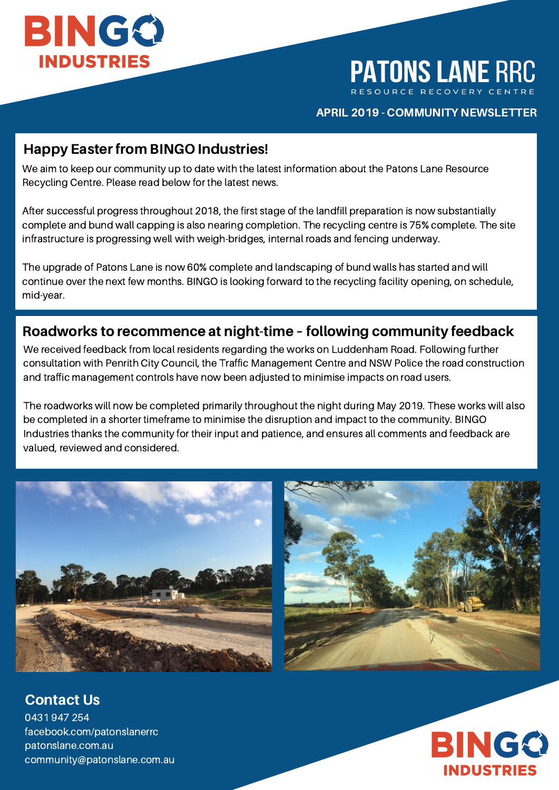

**PATONS LANE RRC** 

#### APRIL 2019 - COMMUNITY NEWSLETTER

### Happy Easter from BINGO Industries!

We aim to keep our community up to date with the latest information about the Patons Lane Resource Recycling Centre. Please read below for the latest news.

After successful progress throughout 2018, the first stage of the landfill preparation is now substantially complete and bund wall capping is also nearing completion. The recycling centre is 75% complete. The site infrastructure is progressing well with weigh-bridges, internal roads and fencing underway.

The upgrade of Patons Lane is now 60% complete and landscaping of bund walls has started and will continue over the next few months. BINGO is looking forward to the recycling facility opening, on schedule, mid-year.

### Roadworks to recommence at night-time – following community feedback

We received feedback from local residents regarding the works on Luddenham Road. Following further consultation with Penrith City Council, the Traffic Management Centre and NSW Police the road construction and traffic management controls have now been adjusted to minimise impacts on road users.

The roadworks will now be completed primarily throughout the night during May 2019. These works will also be completed in a shorter timeframe to minimise the disruption and impact to the community. BINGO Industries thanks the community for their input and patience, and ensures all comments and feedback are valued, reviewed and considered.





Contact Us

0431 947 254 facebook.com/patonslanerrc patonslane.com.au community@patonslane.com.au